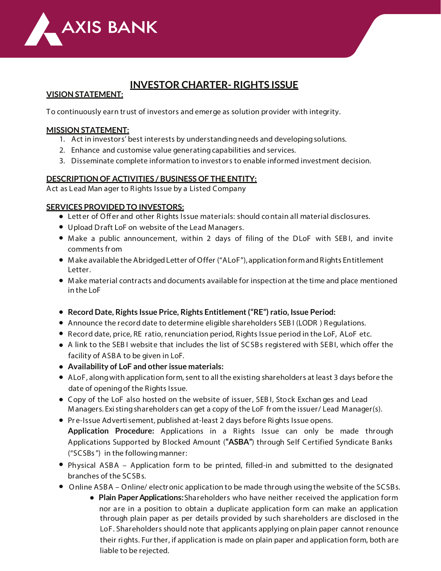

# **INVESTOR CHARTER- RIGHTS ISSUE**

## **VISION STATEMENT:**

To continuously earn trust of investors and emerge as solution provider with integrity.

## **MISSION STATEMENT:**

- **1.** Act in investors' best interests by understandingneeds and developingsolutions.
- **2.** Enhance and customise value generatingcapabilities and services.
- **3.** Disseminate complete information to investors to enable informed investment decision.

### **DESCRIPTION OF ACTIVITIES / BUSINESS OF THE ENTITY:**

**Act as Lead Man ager to Rights Issue by a Listed Company**

#### **SERVICES PROVIDED TO INVESTORS:**

- **• L etter of Oer and other Rights Issue materials: should contain all** material disclosures.
- **•** Upload Draft LoF on website of the Lead Managers.
- **•** Make a public announcement, within 2 days of filing of the DLoF with SEB I, and invite comments from
- **•** Make available the Abridged Letter of Offer ("ALoF"), application formand Rights Entitlement Letter.
- **•** Make material contracts and documents available for inspection at the time and place mentioned in the LoF
- **• Record Date, Rights Issue Price, Rights Entitlement("RE") ratio, Issue Period:**
- **•** Announce the record date to determine eligible shareholders SEB I (LODR ) Regulations.
- **•** Record date, price, RE ratio, renunciation period, Rights Issue period in the LoF, ALoF etc.
- **•** A link to the SEB I website that includes the list of SCSBs registered with SEBI, which offer the facility of ASBA to be given in LoF.
- **• Availability of LoF and other issue materials:**
- ALoF, along with application form, sent to all the existing shareholders at least 3 days before the date of openingof the Rights Issue.
- **•** Copy of the LoF also hosted on the website of issuer, SEB I, Stock Exchan ges and Lead Managers. Existing shareholders can get a copy of the LoF from the issuer/ Lead Manager(s).
- **•** Pr e-Issue Advertisement, published at-least 2 days before Rights Issue opens. **Application Procedure:** Applications in a Rights Issue can only be made through Applications Supported by Blocked Amount (**"ASBA"**) through Self Certified Syndicate Banks ("**SCSBs**") in the followingmanner:
- **•** Physical ASBA Application form to be printed, filled-in and submitted to the designated branches of the SCSBs.
- **•** Online ASBA Online/ electronic application to be made through usingthe website of the SCSBs.
	- **• Plain PaperApplications:**Shareholders who have neither received the application form nor are in a position to obtain a duplicate application form can make an application through plain paper as per details provided by such shareholders are disclosed in the LoF. Shareholders should note that applicants applying on plain paper cannot renounce their rights. Further, if application is made on plain paper and application form, both are liable to be rejected.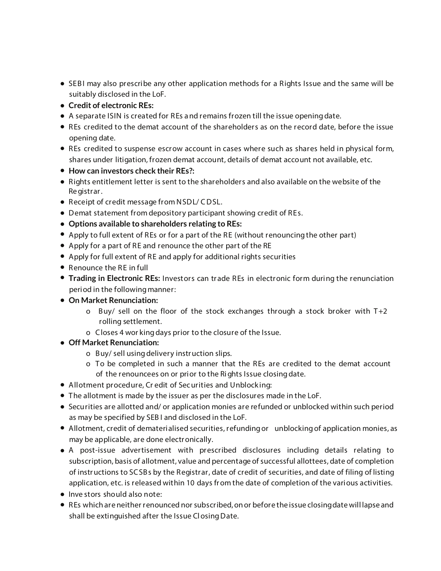- **•** SEBI may also prescribe any other application methods for a Rights Issue and the same will be suitably disclosed in the LoF.
- **• Credit of electronic REs:**
- **•** A separate ISIN is created for REs a nd remains frozen till the issue openingdate.
- **•** REs credited to the demat account of the shareholders as on the record date, before the issue opening date.
- **•** REs credited to suspense escrow account in cases where such as shares held in physical form, shares under litigation, frozen demat account, details of demat account not available, etc.
- **• How can investors check their REs?:**
- **•** Rights entitlement letter is sent to the shareholders and also available on the website of the Registrar.
- **•** Receipt of credit message from NSDL/ CDSL.
- **•** Demat statement from depository participant showing credit of REs.
- **• Options available to shareholders relating to REs:**
- **•** Apply to full extent of REs or for a part of the RE (without renouncingthe other part)
- **•** Apply for a part of RE and renounce the other part of the RE
- **•** Apply for full extent of RE and apply for additional rights securities
- **•** Renounce the RE in full
- **Trading in Electronic REs:** Investors can trade REs in electronic form during the renunciation period in the following manner:
- **• On Market Renunciation:**
	- o Buy/ sell on the floor of the stock exchanges through a stock broker with T+2 rolling settlement.
	- o Closes 4 wor kingdays prior to the closure of the Issue.
- **• Off Market Renunciation:**
	- o Buy/ sell usingdelivery instruction slips.
	- o To be completed in such a manner that the REs are credited to the demat account of the renouncees on or prior to the Rights Issue closingdate.
- **• Allotment procedure, Cr edit of Securities and Unblock ing:**
- **•** The allotment is made by the issuer as per the disclosures made in the LoF.
- **•** Securities are allotted and/ or application monies are refunded or unblocked within such period as may be specified by SEB I and disclosed in the LoF.
- **•** Allotment, credit of dematerialised securities, refundingor unblockingof application monies, as may be applicable, are done electronically.
- **•** A post-issue advertisement with prescribed disclosures including details relating to subscription, basis of allotment, value and percentage of successful allottees, date of completion of instructions to SCSBs by the Registrar, date of credit of securities, and date of filing of listing application, etc. is released within 10 days from the date of completion of the various activities.
- **• Inve stors should also note:**
- **•** REs which are neither renounced nor subscribed,onor before the issue closingdate will lapse and shall be extinguished after the Issue ClosingDate.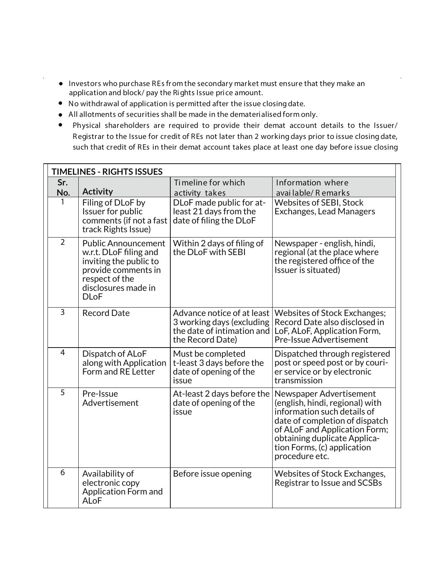- **•** Investors who purchase REs from the secondary market must ensure that they make an application and block/ pay the Rights Issue price amount.
- **•** No withdrawal of application is permitted after the issue closingdate.
- **•** All allotments of securities shall be made in the dematerialised form only.
- **•** Physical shareholders are required to provide their demat account details to the Issuer/ Registrar to the Issue for credit of REs not later than 2 working days prior to issue closing date, such that credit of REs in their demat account takes place at least one day before issue closing

| <b>TIMELINES - RIGHTS ISSUES</b> |                                                                                                                                                               |                                                                                                           |                                                                                                                                                                                                                                               |  |  |  |  |
|----------------------------------|---------------------------------------------------------------------------------------------------------------------------------------------------------------|-----------------------------------------------------------------------------------------------------------|-----------------------------------------------------------------------------------------------------------------------------------------------------------------------------------------------------------------------------------------------|--|--|--|--|
| Sr.                              |                                                                                                                                                               | Timeline for which                                                                                        | Information where                                                                                                                                                                                                                             |  |  |  |  |
| No.                              | <b>Activity</b>                                                                                                                                               | activity takes                                                                                            | available/Remarks                                                                                                                                                                                                                             |  |  |  |  |
| 1                                | Filing of DLoF by<br>Issuer for public<br>comments (if not a fast<br>track Rights Issue)                                                                      | DLoF made public for at-<br>least 21 days from the<br>date of filing the DLoF                             | <b>Websites of SEBI, Stock</b><br>Exchanges, Lead Managers                                                                                                                                                                                    |  |  |  |  |
| $\overline{2}$                   | <b>Public Announcement</b><br>w.r.t. DLoF filing and<br>inviting the public to<br>provide comments in<br>respect of the<br>disclosures made in<br><b>DLoF</b> | Within 2 days of filing of<br>the DLoF with SEBI                                                          | Newspaper - english, hindi,<br>regional (at the place where<br>the registered office of the<br>Issuer is situated)                                                                                                                            |  |  |  |  |
| $\overline{3}$                   | <b>Record Date</b>                                                                                                                                            | Advance notice of at least<br>3 working days (excluding<br>the date of intimation and<br>the Record Date) | <b>Websites of Stock Exchanges;</b><br>Record Date also disclosed in<br>LoF, ALoF, Application Form,<br><b>Pre-Issue Advertisement</b>                                                                                                        |  |  |  |  |
| $\overline{4}$                   | Dispatch of ALoF<br>along with Application<br>Form and RE Letter                                                                                              | Must be completed<br>t-least 3 days before the<br>date of opening of the<br>issue                         | Dispatched through registered<br>post or speed post or by couri-<br>er service or by electronic<br>transmission                                                                                                                               |  |  |  |  |
| 5                                | Pre-Issue<br>Advertisement                                                                                                                                    | At-least 2 days before the<br>date of opening of the<br>issue                                             | Newspaper Advertisement<br>(english, hindi, regional) with<br>information such details of<br>date of completion of dispatch<br>of ALoF and Application Form;<br>obtaining duplicate Applica-<br>tion Forms, (c) application<br>procedure etc. |  |  |  |  |
| 6                                | Availability of<br>electronic copy<br><b>Application Form and</b><br><b>ALoF</b>                                                                              | Before issue opening                                                                                      | Websites of Stock Exchanges,<br>Registrar to Issue and SCSBs                                                                                                                                                                                  |  |  |  |  |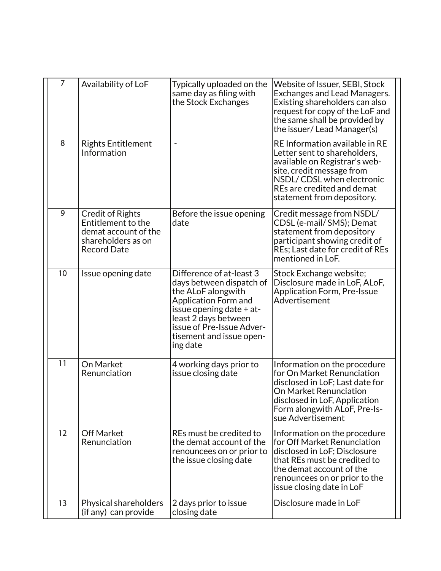| 7  | Availability of LoF                                                                                               | Typically uploaded on the<br>same day as filing with<br>the Stock Exchanges                                                                                                                                                        | Website of Issuer, SEBI, Stock<br>Exchanges and Lead Managers.<br>Existing shareholders can also<br>request for copy of the LoF and<br>the same shall be provided by<br>the issuer/Lead Manager(s)                    |
|----|-------------------------------------------------------------------------------------------------------------------|------------------------------------------------------------------------------------------------------------------------------------------------------------------------------------------------------------------------------------|-----------------------------------------------------------------------------------------------------------------------------------------------------------------------------------------------------------------------|
| 8  | <b>Rights Entitlement</b><br>Information                                                                          |                                                                                                                                                                                                                                    | RE Information available in RE<br>Letter sent to shareholders,<br>available on Registrar's web-<br>site, credit message from<br>NSDL/CDSL when electronic<br>REs are credited and demat<br>statement from depository. |
| 9  | <b>Credit of Rights</b><br>Entitlement to the<br>demat account of the<br>shareholders as on<br><b>Record Date</b> | Before the issue opening<br>date                                                                                                                                                                                                   | Credit message from NSDL/<br>CDSL (e-mail/ SMS); Demat<br>statement from depository<br>participant showing credit of<br>REs; Last date for credit of REs<br>mentioned in LoF.                                         |
| 10 | Issue opening date                                                                                                | Difference of at-least 3<br>days between dispatch of<br>the ALoF alongwith<br><b>Application Form and</b><br>issue opening date + at-<br>least 2 days between<br>issue of Pre-Issue Adver-<br>tisement and issue open-<br>ing date | Stock Exchange website;<br>Disclosure made in LoF, ALoF,<br><b>Application Form, Pre-Issue</b><br>Advertisement                                                                                                       |
| 11 | On Market<br>Renunciation                                                                                         | 4 working days prior to<br>issue closing date                                                                                                                                                                                      | Information on the procedure<br>for On Market Renunciation<br>disclosed in LoF; Last date for<br>On Market Renunciation<br>disclosed in LoF, Application<br>Form alongwith ALoF, Pre-Is-<br>sue Advertisement         |
| 12 | <b>Off Market</b><br>Renunciation                                                                                 | REs must be credited to<br>the demat account of the<br>renouncees on or prior to<br>the issue closing date                                                                                                                         | Information on the procedure<br>for Off Market Renunciation<br>disclosed in LoF; Disclosure<br>that REs must be credited to<br>the demat account of the<br>renouncees on or prior to the<br>issue closing date in LoF |
| 13 | Physical shareholders<br>(if any) can provide                                                                     | 2 days prior to issue<br>closing date                                                                                                                                                                                              | Disclosure made in LoF                                                                                                                                                                                                |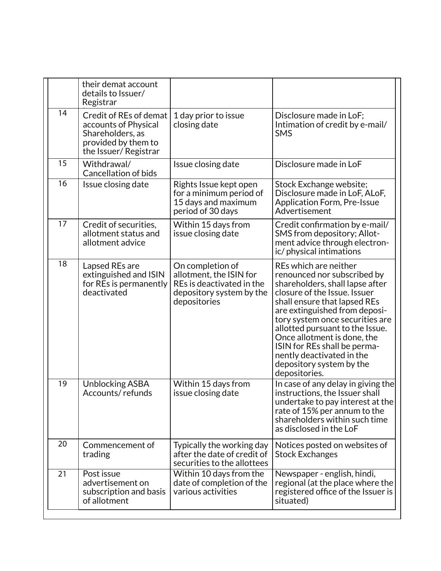|    | their demat account                                                                                               |                                                                                                                      |                                                                                                                                                                                                                                                                                                                                                                                                         |
|----|-------------------------------------------------------------------------------------------------------------------|----------------------------------------------------------------------------------------------------------------------|---------------------------------------------------------------------------------------------------------------------------------------------------------------------------------------------------------------------------------------------------------------------------------------------------------------------------------------------------------------------------------------------------------|
|    | details to Issuer/<br>Registrar                                                                                   |                                                                                                                      |                                                                                                                                                                                                                                                                                                                                                                                                         |
| 14 | Credit of REs of demat<br>accounts of Physical<br>Shareholders, as<br>provided by them to<br>the Issuer/Registrar | 1 day prior to issue<br>closing date                                                                                 | Disclosure made in LoF;<br>Intimation of credit by e-mail/<br><b>SMS</b>                                                                                                                                                                                                                                                                                                                                |
| 15 | Withdrawal/<br><b>Cancellation of bids</b>                                                                        | Issue closing date                                                                                                   | Disclosure made in LoF                                                                                                                                                                                                                                                                                                                                                                                  |
| 16 | Issue closing date                                                                                                | Rights Issue kept open<br>for a minimum period of<br>15 days and maximum<br>period of 30 days                        | Stock Exchange website;<br>Disclosure made in LoF, ALoF,<br><b>Application Form, Pre-Issue</b><br>Advertisement                                                                                                                                                                                                                                                                                         |
| 17 | Credit of securities,<br>allotment status and<br>allotment advice                                                 | Within 15 days from<br>issue closing date                                                                            | Credit confirmation by e-mail/<br>SMS from depository; Allot-<br>ment advice through electron-<br>ic/physical intimations                                                                                                                                                                                                                                                                               |
| 18 | Lapsed REs are<br>extinguished and ISIN<br>for REs is permanently<br>deactivated                                  | On completion of<br>allotment, the ISIN for<br>REs is deactivated in the<br>depository system by the<br>depositories | REs which are neither<br>renounced nor subscribed by<br>shareholders, shall lapse after<br>closure of the Issue. Issuer<br>shall ensure that lapsed REs<br>are extinguished from deposi-<br>tory system once securities are<br>allotted pursuant to the Issue.<br>Once allotment is done, the<br>ISIN for REs shall be perma-<br>nently deactivated in the<br>depository system by the<br>depositories. |
| 19 | <b>Unblocking ASBA</b><br>Accounts/refunds                                                                        | Within 15 days from<br>issue closing date                                                                            | In case of any delay in giving the<br>instructions, the Issuer shall<br>undertake to pay interest at the<br>rate of 15% per annum to the<br>shareholders within such time<br>as disclosed in the LoF                                                                                                                                                                                                    |
| 20 | Commencement of<br>trading                                                                                        | Typically the working day<br>after the date of credit of<br>securities to the allottees                              | Notices posted on websites of<br><b>Stock Exchanges</b>                                                                                                                                                                                                                                                                                                                                                 |
| 21 | Post issue<br>advertisement on<br>subscription and basis<br>of allotment                                          | Within 10 days from the<br>date of completion of the<br>various activities                                           | Newspaper - english, hindi,<br>regional (at the place where the<br>registered office of the Issuer is<br>situated)                                                                                                                                                                                                                                                                                      |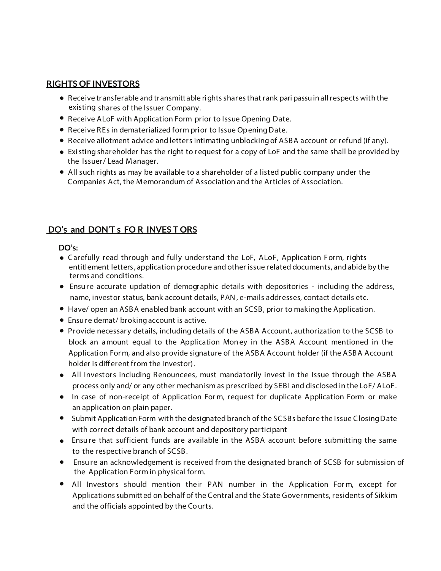### **RIGHTS OF INVESTORS**

- Receive tr ansferable and transmittable rightssharesthat rank *pari passu*in allrespects with the **•** existing shares of the Issuer Company.
- Receive ALoF with Application Form prior to Issue Opening Date. **•**
- Receive REs in dematerialized form prior to Issue OpeningDate. **•**
- Receive allotment advice and letters intimating unblockingof ASBA account or refund (if any). **•**
- Existing shareholder has the right to request for a copy of LoF and the same shall be provided by **•** the Issuer/ Lead Manager.
- All such rights as may be available to a shareholder of a listed public company under the **•** Companies Act, the Memorandum of Association and the Articles of Association.

# **DO's and DON'T s FO R INVES T ORS**

### **DO's:**

- Carefully read through and fully understand the LoF, ALoF, Application Form, rights **•** entitlement letters, application procedure and other issue related documents, and abide by the terms and conditions.
- Ensure accurate updation of demographic details with depositories including the address, **•** name, investor status, bank account details, PAN, e-mails addresses, contact details etc.
- Have/ open an ASBA enabled bank account with an SCSB, prior to makingthe Application. **•**
- Ensure demat/ brokingaccount is active. **•**
- Provide necessary details, including details of the ASBA Account, authorization to the SCSB to **•** block an amount equal to the Application Money in the ASBA Account mentioned in the Application For m, and also provide signature of the ASBA Account holder (if the ASBA Account holder is different from the Investor).
- All Investors including Renouncees, must mandatorily invest in the Issue through the ASBA **•** process only and/ or any other mechanism as prescribed by SEBI and disclosed in the LoF/ ALoF.
- In case of non-receipt of Application Form, request for duplicate Application Form or make an application on plain paper.
- **•** Submit Application Form with the designated branch of the SCSBs before the Issue Closing Date with correct details of bank account and depository participant
- Ensure that sufficient funds are available in the ASBA account before submitting the same **•** to the respective branch of SCSB.
- Ensure an acknowledgement is received from the designated branch of SCSB for submission of the Application Form in physical form. **•**
- All Investors should mention their PAN number in the Application Form, except for Applications submitted on behalf of the Central and the State Governments, residents of Sikkim and the officials appointed by the Courts.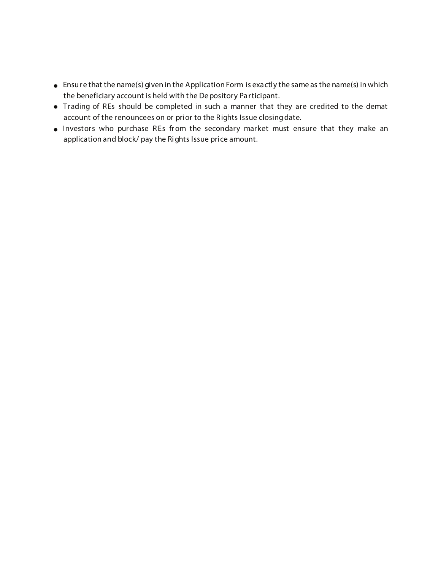- **•** Ensure that the name(s) given in the Application Form is exactly the same as the name(s) in which the beneficiary account is held with the Depository Participant.
- **•** Trading of REs should be completed in such a manner that they are credited to the demat account of the renouncees on or prior to the Rights Issue closingdate.
- **•** Investors who purchase REs from the secondary market must ensure that they make an application and block/ pay the Rights Issue price amount.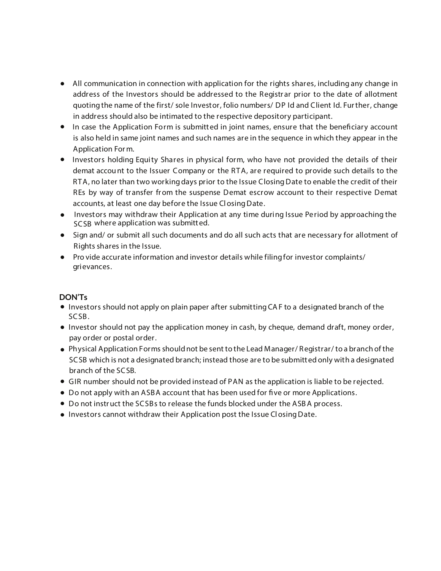- All communication in connection with application for the rights shares, including any change in **•** address of the Investors should be addressed to the Registrar prior to the date of allotment quotingthe name of the first/ sole Investor, folio numbers/ DP Id and Client Id. Further, change in address should also be intimated to the respective depository participant.
- In case the Application Form is submitted in joint names, ensure that the beneficiary account is also held in same joint names and such names are in the sequence in which they appear in the Application For m.
- **•** Investors holding Equity Shares in physical form, who have not provided the details of their demat account to the Issuer Company or the RTA, are required to provide such details to the RTA, no later than two working days prior to the Issue ClosingDate to enable the credit of their REs by way of transfer from the suspense Demat escrow account to their respective Demat accounts, at least one day before the Issue ClosingDate.
- Investors may withdraw their Application at any time during Issue Period by approaching the SCSB where application was submitted.
- Sign and/ or submit all such documents and do all such acts that are necessary for allotment of Rights shares in the Issue.
- Pro vide accurate information and investor details while filing for investor complaints/ grievances.

## **DON'Ts**

- **•** Investors should not apply on plain paper after submitting CAF to a designated branch of the SCSB.
- Investor should not pay the application money in cash, by cheque, demand draft, money order, pay order or postal order.
- Physical Application Forms shouldnot be sent to the Lead Manager/ Registrar/ to a branch of the **•** SCSB which is not a designated branch; instead those are to be submitted only with a designated branch of the SCSB.
- GIR number should not be provided instead of PAN as the application is liable to be rejected. **•**
- Do not apply with an ASBA account that has been used for five or more Applications.
- Do not instruct the SCSBs to release the funds blocked under the ASBA process. **•**
- **•** Investors cannot withdraw their Application post the Issue Closing Date.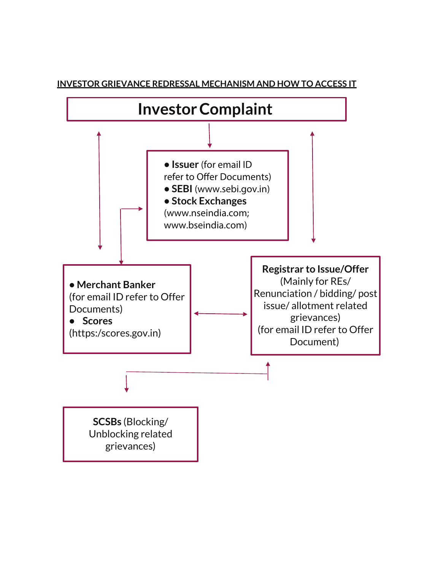

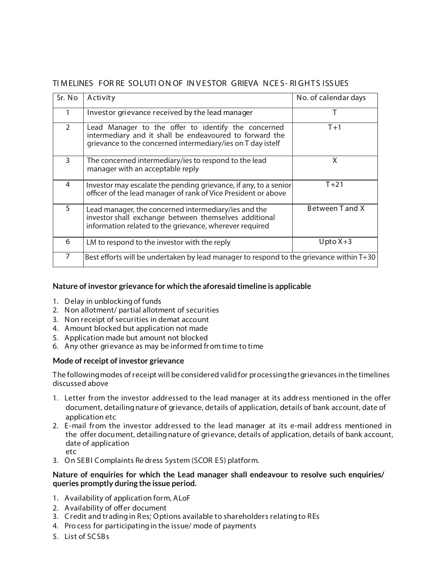# **TI MELINES FOR RE SOLUTI ON OF IN V ESTOR GRIEVA NCE S- RI GHTS ISSUES**

| Sr. No         | Activity                                                                                                                                                                      | No. of calendar days |  |
|----------------|-------------------------------------------------------------------------------------------------------------------------------------------------------------------------------|----------------------|--|
|                | Investor grievance received by the lead manager                                                                                                                               |                      |  |
| $\overline{2}$ | Lead Manager to the offer to identify the concerned<br>intermediary and it shall be endeavoured to forward the<br>grievance to the concerned intermediary/ies on T day istelf | $T+1$                |  |
| 3              | The concerned intermediary/ies to respond to the lead<br>manager with an acceptable reply                                                                                     | X                    |  |
| 4              | Investor may escalate the pending grievance, if any, to a senior<br>officer of the lead manager of rank of Vice President or above                                            | $T + 21$             |  |
| 5              | Lead manager, the concerned intermediary/ies and the<br>investor shall exchange between themselves additional<br>information related to the grievance, wherever required      | Between T and X      |  |
| 6              | LM to respond to the investor with the reply                                                                                                                                  | $U$ pto $X+3$        |  |
| 7              | Best efforts will be undertaken by lead manager to respond to the grievance within T+30                                                                                       |                      |  |

#### **Nature of investor grievance for which the aforesaid timeline is applicable**

- 1. Delay in unblockingof funds
- 2. Non allotment/ partial allotment of securities
- 3. Non receipt of securities in demat account
- 4. Amount blocked but application not made
- 5. Application made but amount not blocked
- 6. Any other grievance as may be informed from time to time

#### **Mode of receipt of investor grievance**

The followingmodes of receipt will be considered validfor processingthe grievances in the timelines discussed above

- 1. Letter from the investor addressed to the lead manager at its address mentioned in the offer document, detailingnature of grievance, details of application, details of bank account, date of application etc
- 2. E-mail from the investor addressed to the lead manager at its e-mail address mentioned in the offer document, detailing nature of grievance, details of application, details of bank account, date of application etc
- 3. On SEBI Complaints Re dress System (SCOR ES) platform.

#### **Nature of enquiries for which the Lead manager shall endeavour to resolve such enquiries/ queries promptly during the issue period.**

- 1. Availability of application form, ALoF
- 2. Availability of offer document
- 3. Credit and tradingin Res; Options available to shareholders relatingto REs
- 4. Pro cess for participatingin the issue/ mode of payments
- 5. List of SCSBs